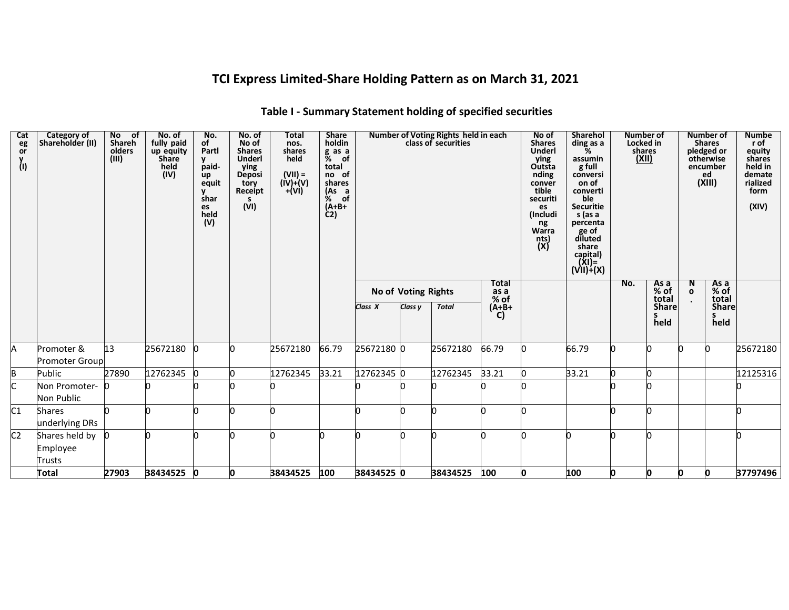# **TCI Express Limited-Share Holding Pattern as on March 31, 2021**

| Cat<br>eg<br>or<br>y<br>(I) | <b>Category of</b><br>Shareholder (II) | No of<br>Shareh<br>olders<br>(III) | No. of<br>fully paid<br>up equity<br><b>Share</b><br>held<br>(IV) | No.<br>of<br>Partl<br><b>y</b><br>paid-<br>up<br>equit<br>y<br>shar<br>es<br>held<br>(V) | No. of<br>No of<br><b>Shares</b><br><b>Underl</b><br>ying<br><b>Deposi</b><br>tory<br>Receipt<br>s.<br>(VI) | <b>Total</b><br>nos.<br>shares<br>held<br>$(VII) =$<br>$(iv)+(v)$<br>$+(Vi)$ | <b>Share</b><br>holdin<br>g as a<br>$%$ of<br>total<br>no of<br>shares<br>$(X6 3)$ of<br>$(A+B+$<br>C <sub>2</sub> |            |                     | Number of Voting Rights held in each<br>class of securities |                       | No of<br><b>Shares</b><br><b>Underl</b><br>ying<br>Outsta<br>nding<br>conver<br>tible<br>securiti<br>es<br>(Includi<br>ng<br>Warra<br>nts)<br>(X) | <b>Sharehol</b><br>ding as a<br>%<br>assumin<br>g full<br>conversi<br>on of<br>converti<br>ble<br><b>Securitie</b><br>s (as a<br>percenta<br>ge of<br>diluted<br>share<br>capital)<br>(XI)=<br>(VII)+(X) |     | Number of<br>Locked in<br>shares<br>(XII) |                   | Number of<br><b>Shares</b><br>pledged or<br>otherwise<br>encumber<br>ed<br>(XIII) | <b>Numbe</b><br>r of<br>equity<br>shares<br>held in<br>demate<br>rialized<br>form<br>(XIV) |
|-----------------------------|----------------------------------------|------------------------------------|-------------------------------------------------------------------|------------------------------------------------------------------------------------------|-------------------------------------------------------------------------------------------------------------|------------------------------------------------------------------------------|--------------------------------------------------------------------------------------------------------------------|------------|---------------------|-------------------------------------------------------------|-----------------------|---------------------------------------------------------------------------------------------------------------------------------------------------|----------------------------------------------------------------------------------------------------------------------------------------------------------------------------------------------------------|-----|-------------------------------------------|-------------------|-----------------------------------------------------------------------------------|--------------------------------------------------------------------------------------------|
|                             |                                        |                                    |                                                                   |                                                                                          |                                                                                                             |                                                                              |                                                                                                                    |            | No of Voting Rights |                                                             | Total<br>as a<br>% of |                                                                                                                                                   |                                                                                                                                                                                                          | No. | As a<br>% of                              | N<br>$\mathbf{o}$ | As a<br>% of                                                                      |                                                                                            |
|                             |                                        |                                    |                                                                   |                                                                                          |                                                                                                             |                                                                              |                                                                                                                    | Class X    | Class y             | <b>Total</b>                                                | $(A+B+$<br>C)         |                                                                                                                                                   |                                                                                                                                                                                                          |     | total<br><b>Share</b><br>held             |                   | total<br><b>Share</b><br>S<br>held                                                |                                                                                            |
| A                           | Promoter &<br><b>Promoter Group</b>    | 13                                 | 25672180                                                          | <sup>0</sup>                                                                             |                                                                                                             | 25672180                                                                     | 66.79                                                                                                              | 25672180 0 |                     | 25672180                                                    | 66.79                 |                                                                                                                                                   | 66.79                                                                                                                                                                                                    |     |                                           |                   | n                                                                                 | 25672180                                                                                   |
| B                           | Public                                 | 27890                              | 12762345                                                          | $\mathbf{0}$                                                                             |                                                                                                             | 12762345                                                                     | 33.21                                                                                                              | 12762345 0 |                     | 12762345                                                    | 33.21                 |                                                                                                                                                   | 33.21                                                                                                                                                                                                    |     |                                           |                   |                                                                                   | 12125316                                                                                   |
| C                           | Non Promoter- 0<br><b>Non Public</b>   |                                    |                                                                   |                                                                                          |                                                                                                             |                                                                              |                                                                                                                    |            |                     |                                                             |                       |                                                                                                                                                   |                                                                                                                                                                                                          |     |                                           |                   |                                                                                   |                                                                                            |
| $\overline{C1}$             | <b>Shares</b><br>underlying DRs        |                                    |                                                                   |                                                                                          |                                                                                                             |                                                                              |                                                                                                                    |            |                     |                                                             |                       |                                                                                                                                                   |                                                                                                                                                                                                          |     |                                           |                   |                                                                                   |                                                                                            |
| $\overline{C2}$             | Shares held by<br>Employee<br>Trusts   |                                    |                                                                   |                                                                                          |                                                                                                             |                                                                              |                                                                                                                    |            |                     |                                                             |                       |                                                                                                                                                   |                                                                                                                                                                                                          |     |                                           |                   |                                                                                   |                                                                                            |
|                             | <b>Total</b>                           | 27903                              | 38434525 0                                                        |                                                                                          | O                                                                                                           | 38434525                                                                     | 100                                                                                                                | 38434525 0 |                     | 38434525                                                    | 100                   | O                                                                                                                                                 | 100                                                                                                                                                                                                      | Ю   | Ю                                         | O                 | O                                                                                 | 37797496                                                                                   |

### **Table I - Summary Statement holding of specified securities**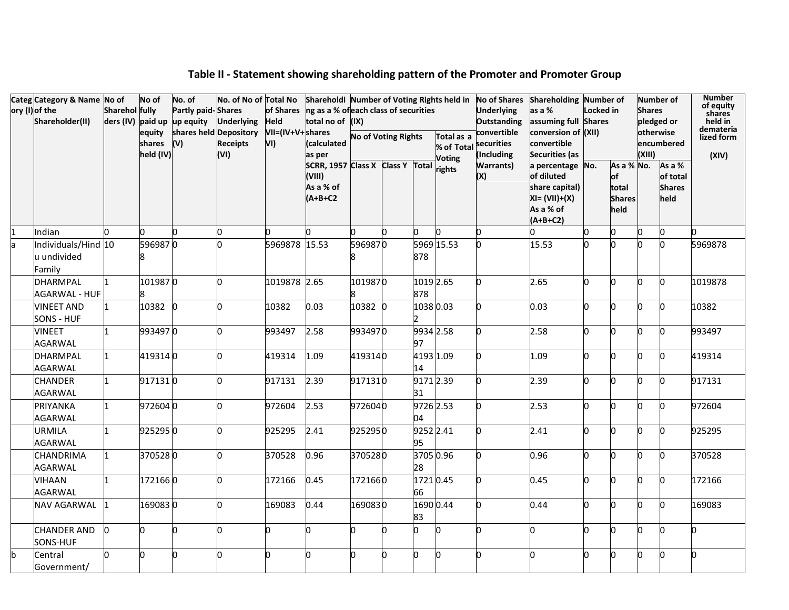|    | Categ Category & Name No of<br>ory (I) of the<br>Shareholder(II) | Sharehol fully | No of<br>equity<br>shares<br>held (IV) | No. of<br><b>Partly paid-Shares</b><br>ders (IV) paid up up equity<br>(V) | No. of No of Total No<br><b>Underlying</b><br>shares held Depository<br><b>Receipts</b><br>(VI) | <b>Held</b><br>VII=(IV+V+shares<br>VI) | of Shares ng as a % of each class of securities<br>total no of (IX)<br>(calculated<br>as per<br>SCRR, 1957 Class X Class Y Total rights |              | <b>No of Voting Rights</b> |                  | Total as a<br>% of Total<br><b>Voting</b> | <b>Underlying</b><br><b>Outstanding</b><br>convertible<br>securities<br>(Including<br><b>Warrants)</b> | Shareholdi Number of Voting Rights held in No of Shares Shareholding Number of<br>as a %<br>assuming full Shares<br>conversion of (XII)<br>convertible<br>Securities (as<br>a percentage No. | Locked in | As a % No.                                      | <b>Shares</b><br>(XIII) | <b>Number of</b><br>pledged or<br>otherwise<br>encumbered<br>As a % | <b>Number</b><br>of equity<br>shares<br>held in<br>demateria<br>lized form<br>(XIV) |
|----|------------------------------------------------------------------|----------------|----------------------------------------|---------------------------------------------------------------------------|-------------------------------------------------------------------------------------------------|----------------------------------------|-----------------------------------------------------------------------------------------------------------------------------------------|--------------|----------------------------|------------------|-------------------------------------------|--------------------------------------------------------------------------------------------------------|----------------------------------------------------------------------------------------------------------------------------------------------------------------------------------------------|-----------|-------------------------------------------------|-------------------------|---------------------------------------------------------------------|-------------------------------------------------------------------------------------|
|    |                                                                  |                |                                        |                                                                           |                                                                                                 |                                        | (VIII)<br>As a % of<br>$(A+B+C2$                                                                                                        |              |                            |                  |                                           | (X)                                                                                                    | of diluted<br>share capital)<br>$XI = (VII)+(X)$<br>As a % of<br>$(A+B+C2)$                                                                                                                  |           | $\mathsf{of}$<br>total<br><b>Shares</b><br>held |                         | of total<br><b>Shares</b><br>held                                   |                                                                                     |
|    | Indian                                                           | n              |                                        |                                                                           | n                                                                                               |                                        | n.                                                                                                                                      |              | n.                         |                  |                                           | n.                                                                                                     | n.                                                                                                                                                                                           | n         | n                                               | n                       | lo.                                                                 |                                                                                     |
| la | Individuals/Hind 10<br>u undivided<br>Family                     |                | 5969870                                |                                                                           |                                                                                                 | 5969878 15.53                          |                                                                                                                                         | 5969870<br>8 |                            | 878              | 5969 15.53                                | O.                                                                                                     | 15.53                                                                                                                                                                                        | n.        |                                                 |                         | lo.                                                                 | 5969878                                                                             |
|    | <b>DHARMPAL</b><br>AGARWAL - HUF                                 |                | 1019870                                |                                                                           | n                                                                                               | 1019878 2.65                           |                                                                                                                                         | 1019870<br>8 |                            | 1019 2.65<br>878 |                                           | 0                                                                                                      | 2.65                                                                                                                                                                                         | 0         |                                                 |                         | 0                                                                   | 1019878                                                                             |
|    | <b>VINEET AND</b><br>SONS - HUF                                  |                | 10382 0                                |                                                                           | n                                                                                               | 10382                                  | 0.03                                                                                                                                    | 10382 0      |                            | 10380.03         |                                           | 0                                                                                                      | 0.03                                                                                                                                                                                         | O.        | n                                               |                         | n                                                                   | 10382                                                                               |
|    | <b>VINEET</b><br>AGARWAL                                         |                | 9934970                                |                                                                           | n                                                                                               | 993497                                 | 2.58                                                                                                                                    | 9934970      |                            | 9934 2.58<br>97  |                                           | 0                                                                                                      | 2.58                                                                                                                                                                                         | O.        |                                                 |                         | n                                                                   | 993497                                                                              |
|    | <b>DHARMPAL</b><br>AGARWAL                                       | $\mathbf{1}$   | 4193140                                |                                                                           | n                                                                                               | 419314                                 | 1.09                                                                                                                                    | 4193140      |                            | 4193 1.09<br>14  |                                           | 0                                                                                                      | 1.09                                                                                                                                                                                         | 0         |                                                 | 'n                      | n.                                                                  | 419314                                                                              |
|    | <b>CHANDER</b><br><b>AGARWAL</b>                                 |                | 9171310                                |                                                                           | n                                                                                               | 917131                                 | 2.39                                                                                                                                    | 9171310      |                            | 9171 2.39<br>31  |                                           | 0                                                                                                      | 2.39                                                                                                                                                                                         | 0         | n                                               | n                       | n.                                                                  | 917131                                                                              |
|    | PRIYANKA<br>AGARWAL                                              | 1              | 9726040                                |                                                                           | n                                                                                               | 972604                                 | 2.53                                                                                                                                    | 9726040      |                            | 9726 2.53<br>04  |                                           | 0                                                                                                      | 2.53                                                                                                                                                                                         | n         | n                                               | n                       | n.                                                                  | 972604                                                                              |
|    | <b>URMILA</b><br><b>AGARWAL</b>                                  | 1              | 9252950                                |                                                                           | n                                                                                               | 925295                                 | 2.41                                                                                                                                    | 9252950      |                            | 9252 2.41<br>95  |                                           | 0                                                                                                      | 2.41                                                                                                                                                                                         | O.        | n                                               |                         | lo.                                                                 | 925295                                                                              |
|    | <b>CHANDRIMA</b><br>AGARWAL                                      |                | 3705280                                |                                                                           | n                                                                                               | 370528                                 | 0.96                                                                                                                                    | 3705280      |                            | 3705 0.96<br>28  |                                           | 0                                                                                                      | 0.96                                                                                                                                                                                         | n         | n                                               |                         | O.                                                                  | 370528                                                                              |
|    | VIHAAN<br>AGARWAL                                                |                | 1721660                                |                                                                           | n                                                                                               | 172166                                 | 0.45                                                                                                                                    | 1721660      |                            | 17210.45<br>66   |                                           | O                                                                                                      | 0.45                                                                                                                                                                                         | b.        | n                                               |                         | lo.                                                                 | 172166                                                                              |
|    | NAV AGARWAL                                                      |                | 1690830                                |                                                                           | n                                                                                               | 169083                                 | 0.44                                                                                                                                    | 1690830      |                            | 83               | 1690 0.44                                 | 0                                                                                                      | 0.44                                                                                                                                                                                         | 0         | n                                               | n                       | n.                                                                  | 169083                                                                              |
|    | <b>CHANDER AND</b><br>SONS-HUF                                   | Ю              |                                        | n                                                                         | o                                                                                               | n                                      | O.                                                                                                                                      | n            | n.                         | n.               |                                           | 0                                                                                                      | 0                                                                                                                                                                                            | O.        | n                                               | n                       | n.                                                                  |                                                                                     |
| b  | Central<br>Government/                                           | 0              |                                        | n                                                                         | n                                                                                               |                                        | О                                                                                                                                       | n            | n                          | n                |                                           | 0                                                                                                      | n.                                                                                                                                                                                           | n         |                                                 |                         | n                                                                   |                                                                                     |

# **Table II - Statement showing shareholding pattern of the Promoter and Promoter Group**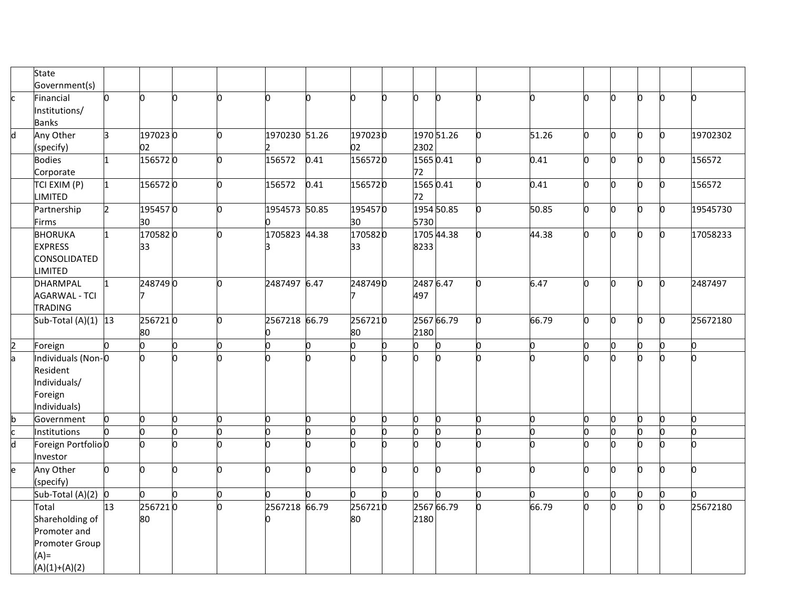|                         | State<br>Government(s)                                                                   |     |               |    |   |               |      |               |    |                  |            |     |                    |    |   |              |              |          |
|-------------------------|------------------------------------------------------------------------------------------|-----|---------------|----|---|---------------|------|---------------|----|------------------|------------|-----|--------------------|----|---|--------------|--------------|----------|
| c.                      | Financial<br>Institutions/<br><b>Banks</b>                                               |     | n             | n  |   | 'n            |      | lo.           | O. | lo.              | 'n.        | n   | n.                 | n  | n | b.           | 'n           | n        |
| $\overline{\mathsf{d}}$ | Any Other<br>(specify)                                                                   |     | 1970230<br>02 |    |   | 1970230 51.26 |      | 1970230<br>02 |    | 2302             | 1970 51.26 | 0   | $\overline{51.26}$ | O. |   | O.           | O.           | 19702302 |
|                         | <b>Bodies</b><br>Corporate                                                               |     | 1565720       |    |   | 156572        | 0.41 | 1565720       |    | 15650.41<br>72   |            | 0   | 0.41               | n. |   | 0            | l0           | 156572   |
|                         | TCI EXIM (P)<br><b>LIMITED</b>                                                           | I1. | 1565720       |    |   | 156572        | 0.41 | 1565720       |    | 1565 0.41<br>72  |            | 0   | 0.41               | 0  |   | 0            | 0            | 156572   |
|                         | Partnership<br><b>Firms</b>                                                              |     | 1954570<br>30 |    |   | 1954573 50.85 |      | 1954570<br>30 |    | 5730             | 1954 50.85 | O.  | 50.85              | 0  | n | O.           | n            | 19545730 |
|                         | <b>BHORUKA</b><br><b>EXPRESS</b><br><b>CONSOLIDATED</b><br><b>LIMITED</b>                |     | 1705820<br>33 |    |   | 1705823 44.38 |      | 1705820<br>33 |    | 8233             | 1705 44.38 | lo. | 44.38              | n. | n | O.           | n.           | 17058233 |
|                         | DHARMPAL<br><b>AGARWAL - TCI</b><br><b>TRADING</b>                                       | I1  | 2487490       |    |   | 2487497 6.47  |      | 2487490       |    | 2487 6.47<br>497 |            | O.  | 6.47               | O. | n | O.           | $\mathbf{0}$ | 2487497  |
|                         | Sub-Total $(A)(1)$ 13                                                                    |     | 2567210<br>80 |    | n | 2567218 66.79 |      | 2567210<br>80 |    | 2180             | 2567 66.79 | O.  | 66.79              | O. | n | O.           | O            | 25672180 |
| $\overline{c}$          | Foreign                                                                                  |     | 0             | h  | n | 0             | n.   | 0             | n  | lo.              | n.         | 0   | 0                  | 0  | n | <sup>o</sup> | n.           | n.       |
| a                       | Individuals (Non-O<br>Resident<br>Individuals/<br>Foreign<br>Individuals)                |     |               |    |   | n             |      | n.            | n. | h.               |            | h   | n                  |    |   | n.           | h            |          |
|                         | Government                                                                               |     | n             | n. |   | O.            | n    | n.            |    | lo.              | n.         | O   | 0                  | n  |   | n            | n            | n        |
| b<br>c<br>d             | <b>Institutions</b>                                                                      |     |               | n  |   | b             |      | n.            | n  | lo.              | n          | n   | n                  | h  |   | n            | n            | n        |
|                         | Foreign Portfolio 0<br>Investor                                                          |     |               | n  |   | n             |      | n.            |    | h.               | n          | n   |                    |    |   | n.           |              | n        |
| e                       | Any Other<br>(specify)                                                                   |     | n.            | n  |   | h             | n    | lo.           | n  | h.               | n.         | 0   | n.                 | n  |   | n            | 'n           | n.       |
|                         | Sub-Total $(A)(2)$ 0                                                                     |     | n.            | n  |   | 'n            |      | n.            |    | h.               |            | 0   | 0                  | o. |   | n            | b            |          |
|                         | Total<br>Shareholding of<br>Promoter and<br>Promoter Group<br>$(A)$ =<br>$(A)(1)+(A)(2)$ | 13  | 2567210<br>80 |    |   | 2567218 66.79 |      | 2567210<br>80 |    | 2180             | 2567 66.79 | 0   | 66.79              | h  |   | n.           | h            | 25672180 |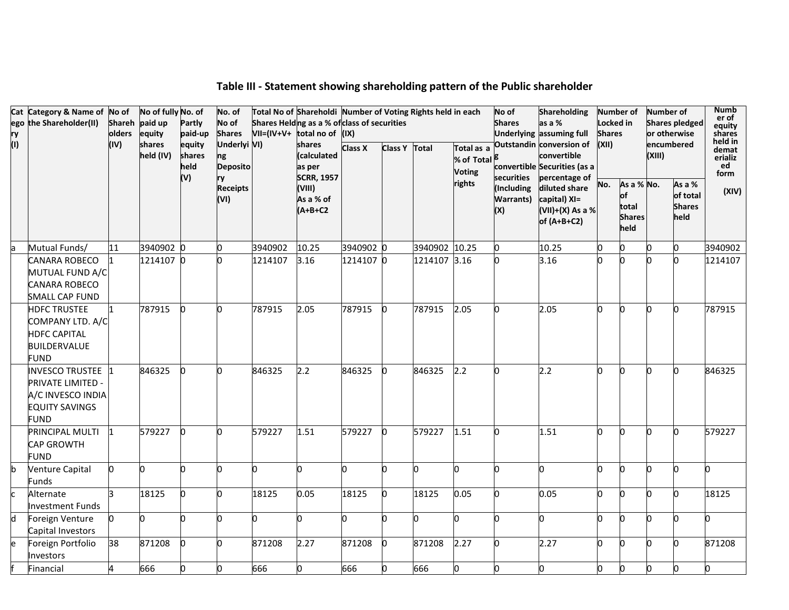|           | Cat Category & Name of No of         |        | No of fully No. of  |                  | No. of             |         | Total No of Shareholdi Number of Voting Rights held in each |                |               |               |               | No of            | <b>Shareholding</b>                     | <b>Number of</b> |                  | Number of |                       | Numb<br>er of     |
|-----------|--------------------------------------|--------|---------------------|------------------|--------------------|---------|-------------------------------------------------------------|----------------|---------------|---------------|---------------|------------------|-----------------------------------------|------------------|------------------|-----------|-----------------------|-------------------|
|           | ego the Shareholder(II)              |        | Shareh paid up      | Partly           | No of              |         | Shares Helding as a % of class of securities                |                |               |               |               | <b>Shares</b>    | as a %                                  | Locked in        |                  |           | <b>Shares pledged</b> | equity            |
| ry<br>(I) |                                      | olders | equity              | paid-up          | <b>Shares</b>      |         | $VII=(IV+V+$ total no of $(IX)$                             |                |               |               |               |                  | Underlying assuming full                | <b>Shares</b>    |                  |           | or otherwise          | shares<br>held in |
|           |                                      | (IV)   | shares<br>held (IV) | equity<br>shares | Underlyi VI)<br>ng |         | shares<br>(calculated                                       | <b>Class X</b> | Class Y Total |               | Total as a    |                  | Outstandin conversion of<br>convertible | (XII)            |                  | (XIII)    | encumbered            | demat<br>erializ  |
|           |                                      |        |                     | held             | <b>Deposito</b>    |         | as per                                                      |                |               |               | % of Total    |                  | convertible Securities (as a            |                  |                  |           |                       | ed                |
|           |                                      |        |                     | (V)              | ry                 |         | <b>SCRR, 1957</b>                                           |                |               |               | <b>Voting</b> | securities       | percentage of                           |                  |                  |           |                       | form              |
|           |                                      |        |                     |                  | <b>Receipts</b>    |         | (VIII)                                                      |                |               |               | rights        | (Including       | diluted share                           | No.              | As a % No.<br>of |           | As a %<br>of total    | (XIV)             |
|           |                                      |        |                     |                  | (VI)               |         | As a % of                                                   |                |               |               |               | <b>Warrants)</b> | capital) XI=                            |                  | total            |           | <b>Shares</b>         |                   |
|           |                                      |        |                     |                  |                    |         | $(A+B+C2$                                                   |                |               |               |               | (X)              | (VII)+(X) As a %<br>of $(A+B+C2)$       |                  | <b>Shares</b>    |           | held                  |                   |
|           |                                      |        |                     |                  |                    |         |                                                             |                |               |               |               |                  |                                         |                  | held             |           |                       |                   |
| la        | Mutual Funds/                        | 11     | 3940902 0           |                  | n                  | 3940902 | 10.25                                                       | 3940902 0      |               | 3940902 10.25 |               | 0                | 10.25                                   | O.               | b.               | n         |                       | 3940902           |
|           | <b>CANARA ROBECO</b>                 |        | 1214107 0           |                  |                    | 1214107 | 3.16                                                        | 1214107 0      |               | 1214107 3.16  |               | n                | 3.16                                    | n                | n                |           |                       | 1214107           |
|           | MUTUAL FUND A/C                      |        |                     |                  |                    |         |                                                             |                |               |               |               |                  |                                         |                  |                  |           |                       |                   |
|           | <b>CANARA ROBECO</b>                 |        |                     |                  |                    |         |                                                             |                |               |               |               |                  |                                         |                  |                  |           |                       |                   |
|           | <b>SMALL CAP FUND</b>                |        |                     |                  |                    |         |                                                             |                |               |               |               |                  |                                         |                  |                  |           |                       |                   |
|           | <b>HDFC TRUSTEE</b>                  |        | 787915              | $\Omega$         | n                  | 787915  | 2.05                                                        | 787915         | IO.           | 787915        | 2.05          | o.               | 2.05                                    | O.               | l0               | n         |                       | 787915            |
|           | COMPANY LTD. A/C                     |        |                     |                  |                    |         |                                                             |                |               |               |               |                  |                                         |                  |                  |           |                       |                   |
|           | <b>HDFC CAPITAL</b>                  |        |                     |                  |                    |         |                                                             |                |               |               |               |                  |                                         |                  |                  |           |                       |                   |
|           | <b>BUILDERVALUE</b>                  |        |                     |                  |                    |         |                                                             |                |               |               |               |                  |                                         |                  |                  |           |                       |                   |
|           | <b>FUND</b>                          |        |                     |                  |                    |         |                                                             |                |               |               |               |                  |                                         |                  |                  |           |                       |                   |
|           | INVESCO TRUSTEE 1                    |        | 846325              | $\bf{0}$         |                    | 846325  | 2.2                                                         | 846325         | n.            | 846325        | 2.2           | b                | 2.2                                     | n                | <sup>0</sup>     | n.        |                       | 846325            |
|           | <b>PRIVATE LIMITED -</b>             |        |                     |                  |                    |         |                                                             |                |               |               |               |                  |                                         |                  |                  |           |                       |                   |
|           | A/C INVESCO INDIA                    |        |                     |                  |                    |         |                                                             |                |               |               |               |                  |                                         |                  |                  |           |                       |                   |
|           | <b>EQUITY SAVINGS</b><br><b>FUND</b> |        |                     |                  |                    |         |                                                             |                |               |               |               |                  |                                         |                  |                  |           |                       |                   |
|           | <b>PRINCIPAL MULTI</b>               |        | 579227              | $\mathbf{0}$     | n                  | 579227  | 1.51                                                        | 579227         | l0            | 579227        | 1.51          | 'n               | 1.51                                    | O.               | 'n.              | n         |                       | 579227            |
|           | <b>CAP GROWTH</b>                    |        |                     |                  |                    |         |                                                             |                |               |               |               |                  |                                         |                  |                  |           |                       |                   |
|           | <b>FUND</b>                          |        |                     |                  |                    |         |                                                             |                |               |               |               |                  |                                         |                  |                  |           |                       |                   |
| b         | Venture Capital                      |        | n                   |                  |                    | 0       | h                                                           | o              | n             | O             |               | b                | o                                       | 0                | 'n               | n         |                       | h                 |
|           | Funds                                |        |                     |                  |                    |         |                                                             |                |               |               |               |                  |                                         |                  |                  |           |                       |                   |
| <b>с</b>  | Alternate                            |        | 18125               |                  |                    | 18125   | 0.05                                                        | 18125          | lo.           | 18125         | 0.05          | b                | 0.05                                    | 0                | <b>n</b>         | n         |                       | 18125             |
|           | <b>Investment Funds</b>              |        |                     |                  |                    |         |                                                             |                |               |               |               |                  |                                         |                  |                  |           |                       |                   |
| d         | Foreign Venture                      |        |                     |                  |                    | n       | n                                                           | n              |               | <sup>0</sup>  |               | n                | 0                                       | n                | n                | n         |                       | n                 |
|           | Capital Investors                    | 38     |                     |                  |                    |         |                                                             |                |               |               |               | b                |                                         |                  |                  | n         |                       |                   |
| le        | Foreign Portfolio                    |        | 871208              | n                |                    | 871208  | 2.27                                                        | 871208         | n             | 871208        | 2.27          |                  | 2.27                                    | O.               | n                |           |                       | 871208            |
|           | Investors<br>Financial               |        | 666                 |                  | n                  | 666     | O                                                           | 666            | n             | 666           |               | O                | 0                                       | O.               | b                | O.        |                       |                   |
|           |                                      |        |                     |                  |                    |         |                                                             |                |               |               |               |                  |                                         |                  |                  |           |                       |                   |

### **Table III - Statement showing shareholding pattern of the Public shareholder**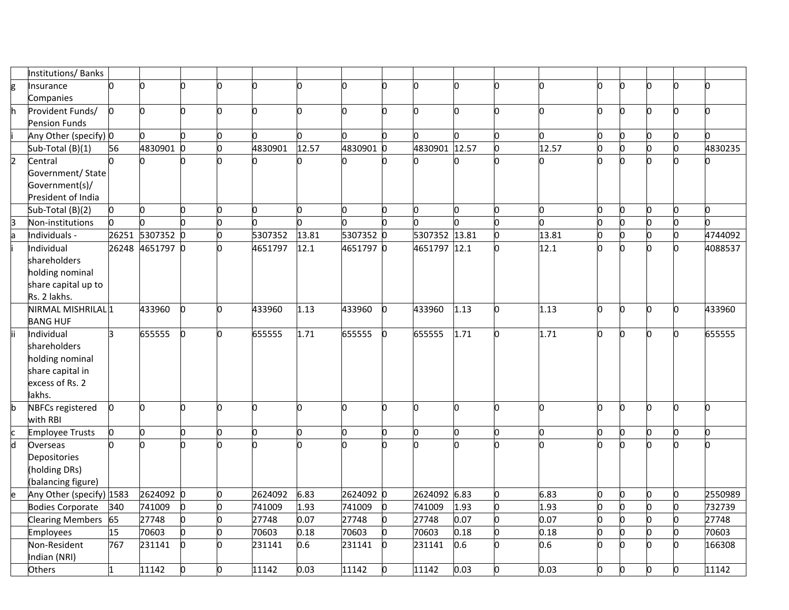|                         | Institutions/ Banks           |     |                 |          |    |         |       |           |          |               |      |     |              |   |    |   |    |         |
|-------------------------|-------------------------------|-----|-----------------|----------|----|---------|-------|-----------|----------|---------------|------|-----|--------------|---|----|---|----|---------|
| g                       | Insurance                     |     | n               |          | 0  |         |       | U         | U        | lo.           |      | 0   | n            |   | n. |   | U  |         |
|                         | Companies                     |     |                 |          |    |         |       |           |          |               |      |     |              |   |    |   |    |         |
|                         | Provident Funds/              | b.  | n               |          | O  | n       | n     | U         | n        | n             |      | 0   | 0            |   | n  |   |    | n       |
|                         | <b>Pension Funds</b>          |     |                 |          |    |         |       |           |          |               |      |     |              |   |    |   |    |         |
|                         | Any Other (specify) 0         |     | n               |          | 0  | n.      | n     |           |          | lo.           |      | 0   | O.           |   | 0  |   |    | n       |
|                         | Sub-Total (B)(1)              | 56  | 4830901         |          | b  | 4830901 | 12.57 | 4830901   | lo.      | 4830901 12.57 |      | 0   | 12.57        |   | O. |   |    | 4830235 |
| $\overline{2}$          | Central                       |     |                 |          |    |         |       |           |          |               |      |     |              |   |    |   |    |         |
|                         | Government/ State             |     |                 |          |    |         |       |           |          |               |      |     |              |   |    |   |    |         |
|                         | Government(s)/                |     |                 |          |    |         |       |           |          |               |      |     |              |   |    |   |    |         |
|                         | President of India            |     |                 |          |    |         |       |           |          |               |      |     |              |   |    |   |    |         |
|                         | Sub-Total (B)(2)              | O.  | O               |          | o  | n.      | lo.   | 0         | n.       | lo.           | n    | o   | O            |   | O. |   | n  | o       |
| 3                       | Non-institutions              |     |                 |          |    |         |       |           |          | n             |      |     | <sub>0</sub> |   | 0  |   |    |         |
| la                      | Individuals -                 |     | 26251 5307352 0 |          |    | 5307352 | 13.81 | 5307352   | $\Omega$ | 5307352 13.81 |      | b   | 13.81        |   | 0  |   |    | 4744092 |
|                         | Individual                    |     | 26248 4651797 0 |          | 0  | 4651797 | 12.1  | 4651797 0 |          | 4651797 12.1  |      | lo. | 12.1         |   | n. |   |    | 4088537 |
|                         | shareholders                  |     |                 |          |    |         |       |           |          |               |      |     |              |   |    |   |    |         |
|                         | holding nominal               |     |                 |          |    |         |       |           |          |               |      |     |              |   |    |   |    |         |
|                         | share capital up to           |     |                 |          |    |         |       |           |          |               |      |     |              |   |    |   |    |         |
|                         | Rs. 2 lakhs.                  |     |                 |          |    |         |       |           |          |               |      |     |              |   |    |   |    |         |
|                         | NIRMAL MISHRILAL 1            |     | 433960          |          | O. | 433960  | 1.13  | 433960    | Ю        | 433960        | 1.13 | 0   | 1.13         |   | n  |   |    | 433960  |
|                         | <b>BANG HUF</b><br>Individual | R.  | 655555          | $\Omega$ | b. | 655555  | 1.71  | 655555    | l0       | 655555        | 1.71 | b.  | 1.71         |   | n. | n |    | 655555  |
|                         | shareholders                  |     |                 |          |    |         |       |           |          |               |      |     |              |   |    |   |    |         |
|                         | holding nominal               |     |                 |          |    |         |       |           |          |               |      |     |              |   |    |   |    |         |
|                         | share capital in              |     |                 |          |    |         |       |           |          |               |      |     |              |   |    |   |    |         |
|                         | excess of Rs. 2               |     |                 |          |    |         |       |           |          |               |      |     |              |   |    |   |    |         |
|                         | lakhs.                        |     |                 |          |    |         |       |           |          |               |      |     |              |   |    |   |    |         |
| b                       | <b>NBFCs registered</b>       |     | h               |          | O  | n       | n     | 0         | O.       | O             |      | b.  | 0            |   | O. | n | n  | n       |
|                         | with RBI                      |     |                 |          |    |         |       |           |          |               |      |     |              |   |    |   |    |         |
|                         | Employee Trusts               | O.  | 0               |          | O. | n.      | O.    | n         | O.       | lo.           |      | 0   | O.           | n | 0  |   | n  | n       |
| $\overline{\mathsf{d}}$ | Overseas                      |     | n               |          |    |         |       |           |          | h             |      | n.  | n            |   | h  |   |    |         |
|                         | Depositories                  |     |                 |          |    |         |       |           |          |               |      |     |              |   |    |   |    |         |
|                         | (holding DRs)                 |     |                 |          |    |         |       |           |          |               |      |     |              |   |    |   |    |         |
|                         | (balancing figure)            |     |                 |          |    |         |       |           |          |               |      |     |              |   |    |   |    |         |
|                         | Any Other (specify) 1583      |     | 2624092 0       |          | 0  | 2624092 | 6.83  | 2624092 0 |          | 2624092 6.83  |      | 0   | 6.83         | n | O. |   | n  | 2550989 |
|                         | <b>Bodies Corporate</b>       | 340 | 741009          |          | n  | 741009  | 1.93  | 741009    | O.       | 741009        | 1.93 | 0   | 1.93         |   | 0  |   |    | 732739  |
|                         | <b>Clearing Members</b>       | 65  | 27748           |          | n  | 27748   | 0.07  | 27748     |          | 27748         | 0.07 | 0   | 0.07         |   | 0  |   |    | 27748   |
|                         | <b>Employees</b>              | 15  | 70603           |          | n  | 70603   | 0.18  | 70603     |          | 70603         | 0.18 | 0   | 0.18         |   | O. |   |    | 70603   |
|                         | Non-Resident                  | 767 | 231141          |          | O. | 231141  | 0.6   | 231141    | 0        | 231141        | 0.6  | 0   | 0.6          |   | n  |   |    | 166308  |
|                         | Indian (NRI)                  |     |                 |          |    |         |       |           |          |               |      |     |              |   |    |   |    |         |
|                         | Others                        |     | 11142           |          | o  | 11142   | 0.03  | 11142     | n.       | 11142         | 0.03 | 0   | 0.03         |   | O. |   | n. | 11142   |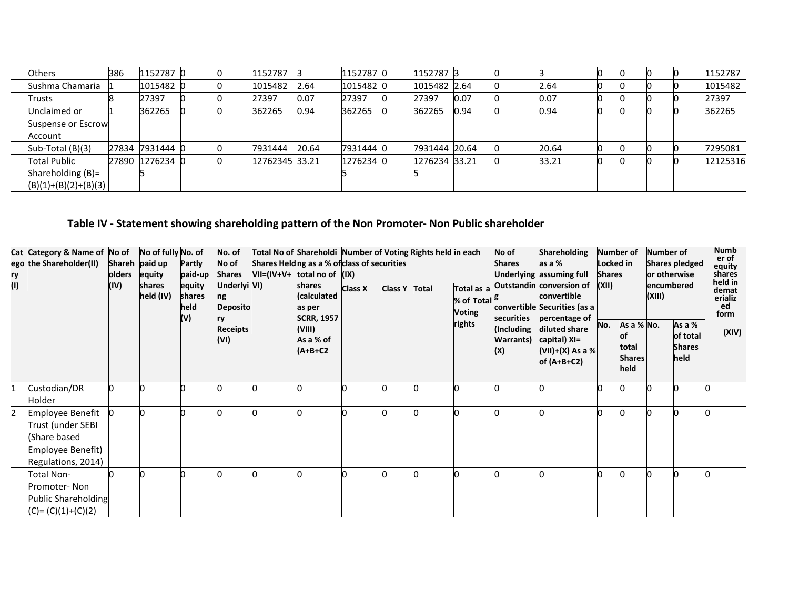| <b>Others</b>          | 386 | 1152787 0       |  | 1152787        |       | 1152787   | 1152787 3     |      |       |  |  | 1152787  |
|------------------------|-----|-----------------|--|----------------|-------|-----------|---------------|------|-------|--|--|----------|
| Sushma Chamaria        |     | 1015482 0       |  | 1015482        | 2.64  | 1015482 0 | 1015482 2.64  |      | 2.64  |  |  | 1015482  |
| Trusts                 |     | 27397           |  | 27397          | 0.07  | 27397     | 27397         | 0.07 | 0.07  |  |  | 27397    |
| Unclaimed or           |     | 362265          |  | 362265         | 0.94  | 362265    | 362265        | 0.94 | 0.94  |  |  | 362265   |
| Suspense or Escrow     |     |                 |  |                |       |           |               |      |       |  |  |          |
| Account                |     |                 |  |                |       |           |               |      |       |  |  |          |
| Sub-Total (B)(3)       |     | 27834 7931444 0 |  | 7931444        | 20.64 | 7931444 0 | 7931444 20.64 |      | 20.64 |  |  | 7295081  |
| <b>Total Public</b>    |     | 27890 1276234 0 |  | 12762345 33.21 |       | 1276234 C | 1276234 33.21 |      | 33.21 |  |  | 12125316 |
| Shareholding $(B)$ =   |     |                 |  |                |       |           |               |      |       |  |  |          |
| $(B)(1)+(B)(2)+(B)(3)$ |     |                 |  |                |       |           |               |      |       |  |  |          |

# **Table IV - Statement showing shareholding pattern of the Non Promoter- Non Public shareholder**

| ry<br>(1) | Cat Category & Name of No of<br>ego the Shareholder(II)                                          | olders<br>(IV) | No of fully No. of<br>Shareh paid up<br>equity<br>shares<br>held (IV) | Partly<br>paid-up<br>equity<br>shares<br>held | No. of<br>No of<br><b>Shares</b><br>Underlyi VI)<br>ng<br><b>Deposito</b> | Total No of Shareholdi Number of Voting Rights held in each<br>Shares Helding as a % of class of securities<br>$VII=(IV+V+$ total no of $(IX)$<br>shares<br>(calculated<br>as per | <b>Class X</b> | Class Y Total | Total as a<br>% of Total <sup>18</sup><br><b>Voting</b> | No of<br><b>Shares</b>                               | <b>Shareholding</b><br>as a %<br>Underlying assuming full<br>Outstandin conversion of<br>convertible<br>convertible Securities (as a | Number of<br>Locked in<br><b>Shares</b><br>(XII) |                                                    | <b>Number of</b><br>or otherwise<br>encumbered<br>(XIII) | Shares pledged                              | <b>Numb</b><br>er of<br>equity<br>shares<br>held in<br>demat<br>erializ<br>ed<br>form |
|-----------|--------------------------------------------------------------------------------------------------|----------------|-----------------------------------------------------------------------|-----------------------------------------------|---------------------------------------------------------------------------|-----------------------------------------------------------------------------------------------------------------------------------------------------------------------------------|----------------|---------------|---------------------------------------------------------|------------------------------------------------------|--------------------------------------------------------------------------------------------------------------------------------------|--------------------------------------------------|----------------------------------------------------|----------------------------------------------------------|---------------------------------------------|---------------------------------------------------------------------------------------|
|           |                                                                                                  |                |                                                                       | (V)                                           | <b>Receipts</b><br>(VI)                                                   | <b>SCRR, 1957</b><br>(VIII)<br>As a % of<br>$(A+B+C2$                                                                                                                             |                |               | rights                                                  | securities<br>(Including<br><b>Warrants</b> )<br>(X) | percentage of<br>diluted share<br>capital) XI=<br>(VII)+(X) As a % <br>of $(A+B+C2)$                                                 | No.                                              | As a % No.<br>Юt<br>total<br><b>Shares</b><br>held |                                                          | As a %<br>of total<br><b>Shares</b><br>held | (XIV)                                                                                 |
|           | Custodian/DR<br>Holder                                                                           |                |                                                                       |                                               |                                                                           |                                                                                                                                                                                   |                |               |                                                         |                                                      |                                                                                                                                      |                                                  |                                                    |                                                          |                                             |                                                                                       |
| 2         | Employee Benefit<br>Trust (under SEBI<br>(Share based<br>Employee Benefit)<br>Regulations, 2014) |                |                                                                       |                                               |                                                                           |                                                                                                                                                                                   |                |               |                                                         |                                                      |                                                                                                                                      |                                                  |                                                    |                                                          |                                             |                                                                                       |
|           | Total Non-<br>Promoter-Non<br>Public Shareholding<br>$(C) = (C)(1)+(C)(2)$                       |                |                                                                       |                                               |                                                                           |                                                                                                                                                                                   |                |               |                                                         |                                                      |                                                                                                                                      |                                                  |                                                    |                                                          |                                             |                                                                                       |